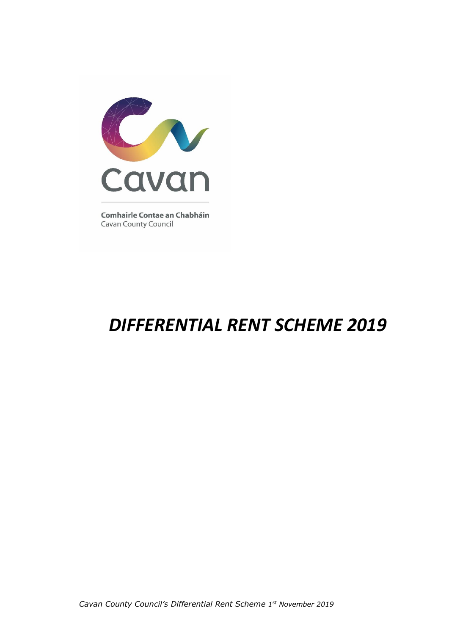

**Comhairle Contae an Chabháin Cavan County Council** 

# *DIFFERENTIAL RENT SCHEME 2019*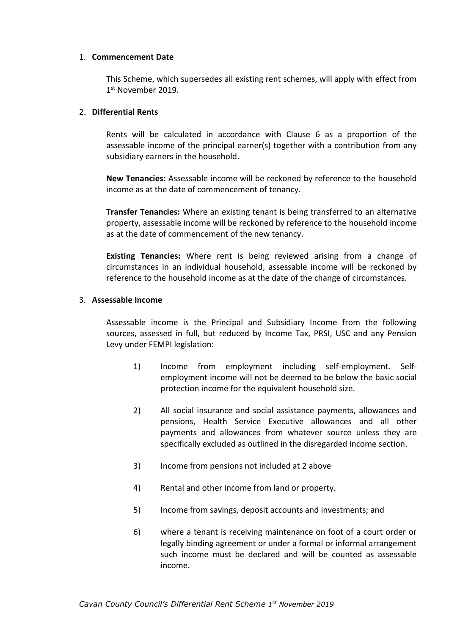#### 1. **Commencement Date**

This Scheme, which supersedes all existing rent schemes, will apply with effect from 1 st November 2019.

## 2. **Differential Rents**

Rents will be calculated in accordance with Clause 6 as a proportion of the assessable income of the principal earner(s) together with a contribution from any subsidiary earners in the household.

**New Tenancies:** Assessable income will be reckoned by reference to the household income as at the date of commencement of tenancy.

**Transfer Tenancies:** Where an existing tenant is being transferred to an alternative property, assessable income will be reckoned by reference to the household income as at the date of commencement of the new tenancy.

**Existing Tenancies:** Where rent is being reviewed arising from a change of circumstances in an individual household, assessable income will be reckoned by reference to the household income as at the date of the change of circumstances.

#### 3. **Assessable Income**

Assessable income is the Principal and Subsidiary Income from the following sources, assessed in full, but reduced by Income Tax, PRSI, USC and any Pension Levy under FEMPI legislation:

- 1) Income from employment including self-employment. Selfemployment income will not be deemed to be below the basic social protection income for the equivalent household size.
- 2) All social insurance and social assistance payments, allowances and pensions, Health Service Executive allowances and all other payments and allowances from whatever source unless they are specifically excluded as outlined in the disregarded income section.
- 3) Income from pensions not included at 2 above
- 4) Rental and other income from land or property.
- 5) Income from savings, deposit accounts and investments; and
- 6) where a tenant is receiving maintenance on foot of a court order or legally binding agreement or under a formal or informal arrangement such income must be declared and will be counted as assessable income.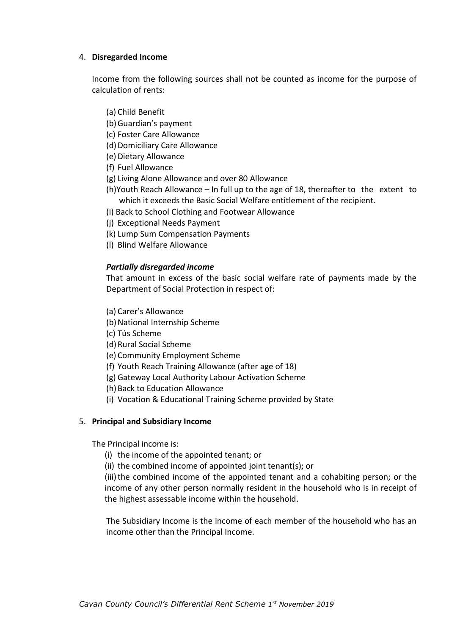## 4. **Disregarded Income**

Income from the following sources shall not be counted as income for the purpose of calculation of rents:

- (a) Child Benefit
- (b)Guardian's payment
- (c) Foster Care Allowance
- (d) Domiciliary Care Allowance
- (e) Dietary Allowance
- (f) Fuel Allowance
- (g) Living Alone Allowance and over 80 Allowance
- (h)Youth Reach Allowance In full up to the age of 18, thereafter to the extent to which it exceeds the Basic Social Welfare entitlement of the recipient.
- (i) Back to School Clothing and Footwear Allowance
- (j) Exceptional Needs Payment
- (k) Lump Sum Compensation Payments
- (l) Blind Welfare Allowance

## *Partially disregarded income*

That amount in excess of the basic social welfare rate of payments made by the Department of Social Protection in respect of:

- (a) Carer's Allowance
- (b) National Internship Scheme
- (c) Tús Scheme
- (d)Rural Social Scheme
- (e) Community Employment Scheme
- (f) Youth Reach Training Allowance (after age of 18)
- (g) Gateway Local Authority Labour Activation Scheme
- (h) Back to Education Allowance
- (i) Vocation & Educational Training Scheme provided by State

## 5. **Principal and Subsidiary Income**

The Principal income is:

- (i) the income of the appointed tenant; or
- (ii) the combined income of appointed joint tenant(s); or

(iii) the combined income of the appointed tenant and a cohabiting person; or the income of any other person normally resident in the household who is in receipt of the highest assessable income within the household.

The Subsidiary Income is the income of each member of the household who has an income other than the Principal Income.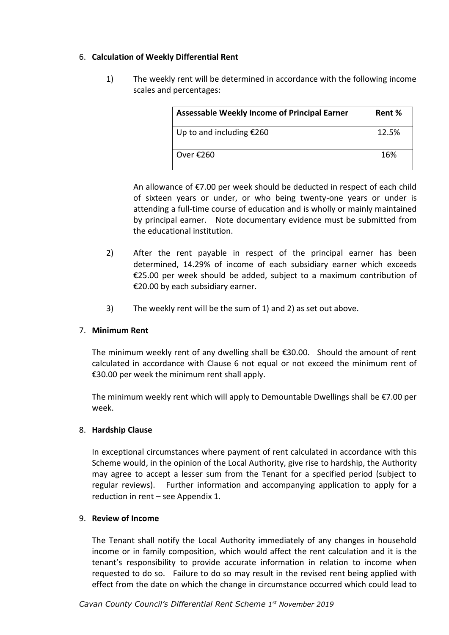## 6. **Calculation of Weekly Differential Rent**

1) The weekly rent will be determined in accordance with the following income scales and percentages:

| <b>Assessable Weekly Income of Principal Earner</b> | Rent % |
|-----------------------------------------------------|--------|
| Up to and including $£260$                          | 12.5%  |
| Over $£260$                                         | 16%    |

An allowance of €7.00 per week should be deducted in respect of each child of sixteen years or under, or who being twenty-one years or under is attending a full-time course of education and is wholly or mainly maintained by principal earner. Note documentary evidence must be submitted from the educational institution.

- 2) After the rent payable in respect of the principal earner has been determined, 14.29% of income of each subsidiary earner which exceeds €25.00 per week should be added, subject to a maximum contribution of €20.00 by each subsidiary earner.
- 3) The weekly rent will be the sum of 1) and 2) as set out above.

## 7. **Minimum Rent**

The minimum weekly rent of any dwelling shall be  $\epsilon$ 30.00. Should the amount of rent calculated in accordance with Clause 6 not equal or not exceed the minimum rent of €30.00 per week the minimum rent shall apply.

The minimum weekly rent which will apply to Demountable Dwellings shall be €7.00 per week.

## 8. **Hardship Clause**

In exceptional circumstances where payment of rent calculated in accordance with this Scheme would, in the opinion of the Local Authority, give rise to hardship, the Authority may agree to accept a lesser sum from the Tenant for a specified period (subject to regular reviews). Further information and accompanying application to apply for a reduction in rent – see Appendix 1.

## 9. **Review of Income**

The Tenant shall notify the Local Authority immediately of any changes in household income or in family composition, which would affect the rent calculation and it is the tenant's responsibility to provide accurate information in relation to income when requested to do so. Failure to do so may result in the revised rent being applied with effect from the date on which the change in circumstance occurred which could lead to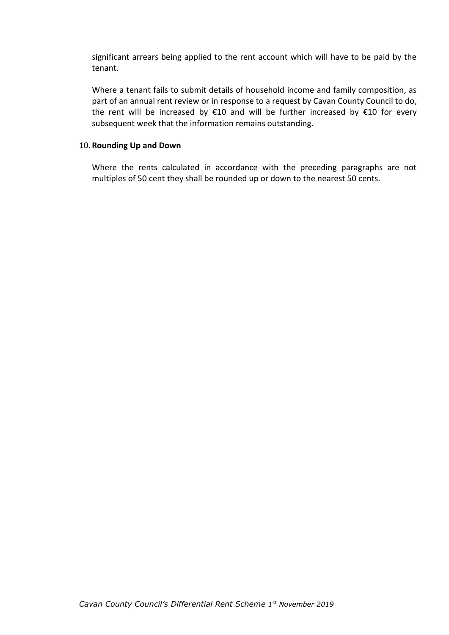significant arrears being applied to the rent account which will have to be paid by the tenant.

Where a tenant fails to submit details of household income and family composition, as part of an annual rent review or in response to a request by Cavan County Council to do, the rent will be increased by €10 and will be further increased by €10 for every subsequent week that the information remains outstanding.

#### 10. **Rounding Up and Down**

Where the rents calculated in accordance with the preceding paragraphs are not multiples of 50 cent they shall be rounded up or down to the nearest 50 cents.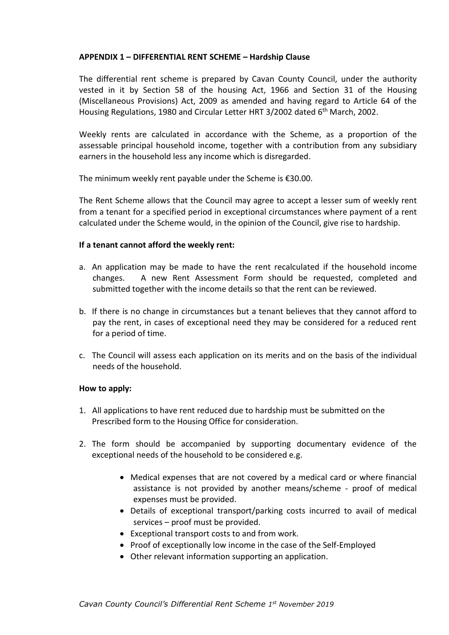## **APPENDIX 1 – DIFFERENTIAL RENT SCHEME – Hardship Clause**

The differential rent scheme is prepared by Cavan County Council, under the authority vested in it by Section 58 of the housing Act, 1966 and Section 31 of the Housing (Miscellaneous Provisions) Act, 2009 as amended and having regard to Article 64 of the Housing Regulations, 1980 and Circular Letter HRT 3/2002 dated 6<sup>th</sup> March, 2002.

Weekly rents are calculated in accordance with the Scheme, as a proportion of the assessable principal household income, together with a contribution from any subsidiary earners in the household less any income which is disregarded.

The minimum weekly rent payable under the Scheme is €30.00.

The Rent Scheme allows that the Council may agree to accept a lesser sum of weekly rent from a tenant for a specified period in exceptional circumstances where payment of a rent calculated under the Scheme would, in the opinion of the Council, give rise to hardship.

## **If a tenant cannot afford the weekly rent:**

- a. An application may be made to have the rent recalculated if the household income changes. A new Rent Assessment Form should be requested, completed and submitted together with the income details so that the rent can be reviewed.
- b. If there is no change in circumstances but a tenant believes that they cannot afford to pay the rent, in cases of exceptional need they may be considered for a reduced rent for a period of time.
- c. The Council will assess each application on its merits and on the basis of the individual needs of the household.

## **How to apply:**

- 1. All applications to have rent reduced due to hardship must be submitted on the Prescribed form to the Housing Office for consideration.
- 2. The form should be accompanied by supporting documentary evidence of the exceptional needs of the household to be considered e.g.
	- Medical expenses that are not covered by a medical card or where financial assistance is not provided by another means/scheme - proof of medical expenses must be provided.
	- Details of exceptional transport/parking costs incurred to avail of medical services – proof must be provided.
	- Exceptional transport costs to and from work.
	- Proof of exceptionally low income in the case of the Self-Employed
	- Other relevant information supporting an application.